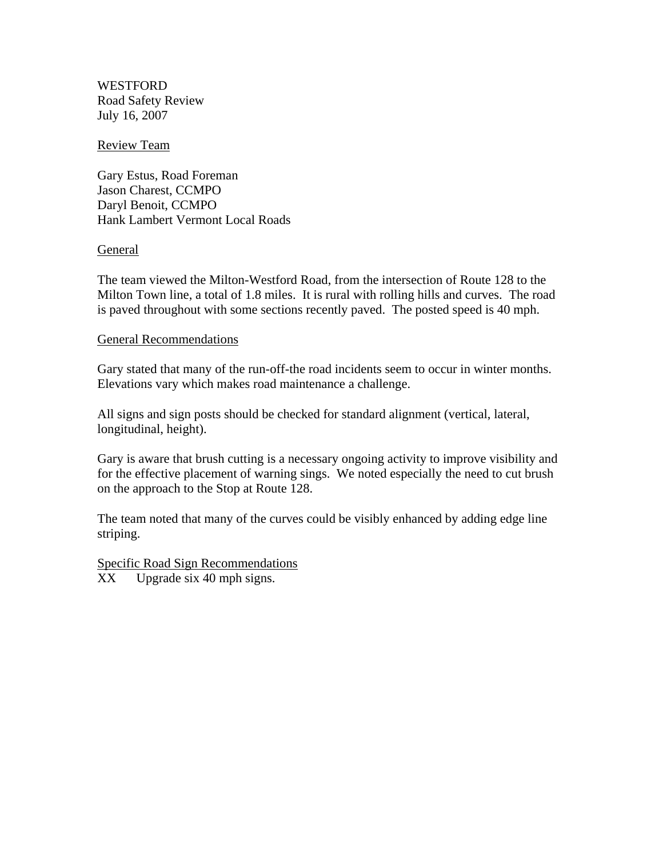WESTFORD Road Safety Review July 16, 2007

#### Review Team

Gary Estus, Road Foreman Jason Charest, CCMPO Daryl Benoit, CCMPO Hank Lambert Vermont Local Roads

### General

The team viewed the Milton-Westford Road, from the intersection of Route 128 to the Milton Town line, a total of 1.8 miles. It is rural with rolling hills and curves. The road is paved throughout with some sections recently paved. The posted speed is 40 mph.

### General Recommendations

Gary stated that many of the run-off-the road incidents seem to occur in winter months. Elevations vary which makes road maintenance a challenge.

All signs and sign posts should be checked for standard alignment (vertical, lateral, longitudinal, height).

Gary is aware that brush cutting is a necessary ongoing activity to improve visibility and for the effective placement of warning sings. We noted especially the need to cut brush on the approach to the Stop at Route 128.

The team noted that many of the curves could be visibly enhanced by adding edge line striping.

Specific Road Sign Recommendations

XX Upgrade six 40 mph signs.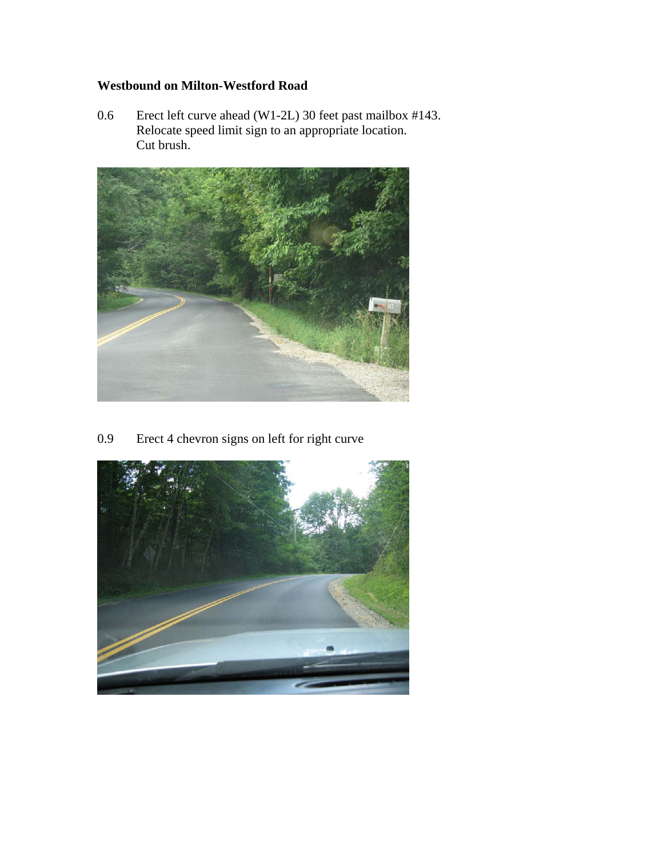## **Westbound on Milton-Westford Road**

0.6 Erect left curve ahead (W1-2L) 30 feet past mailbox #143. Relocate speed limit sign to an appropriate location. Cut brush.



0.9 Erect 4 chevron signs on left for right curve

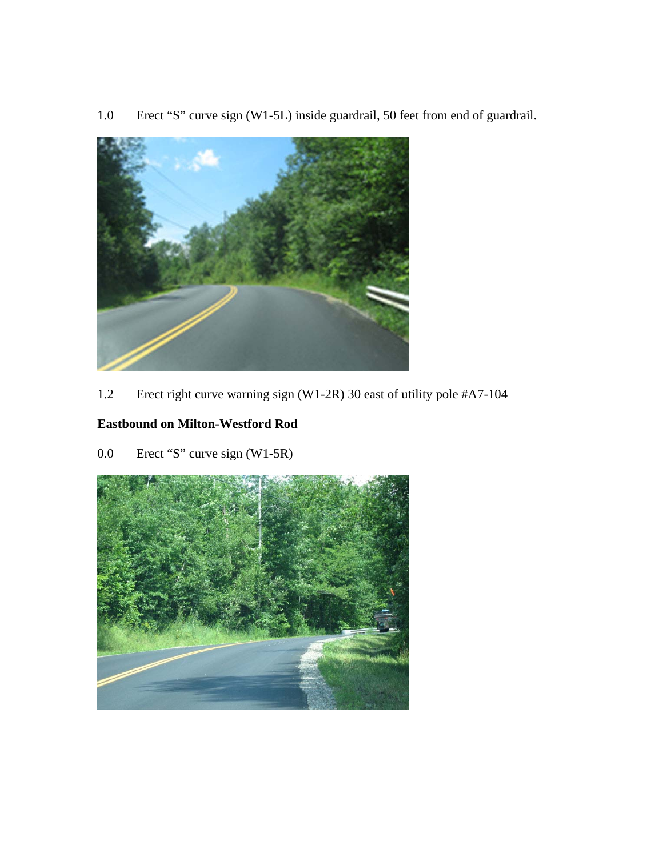1.0 Erect "S" curve sign (W1-5L) inside guardrail, 50 feet from end of guardrail.



1.2 Erect right curve warning sign (W1-2R) 30 east of utility pole #A7-104

# **Eastbound on Milton-Westford Rod**

0.0 Erect "S" curve sign (W1-5R)

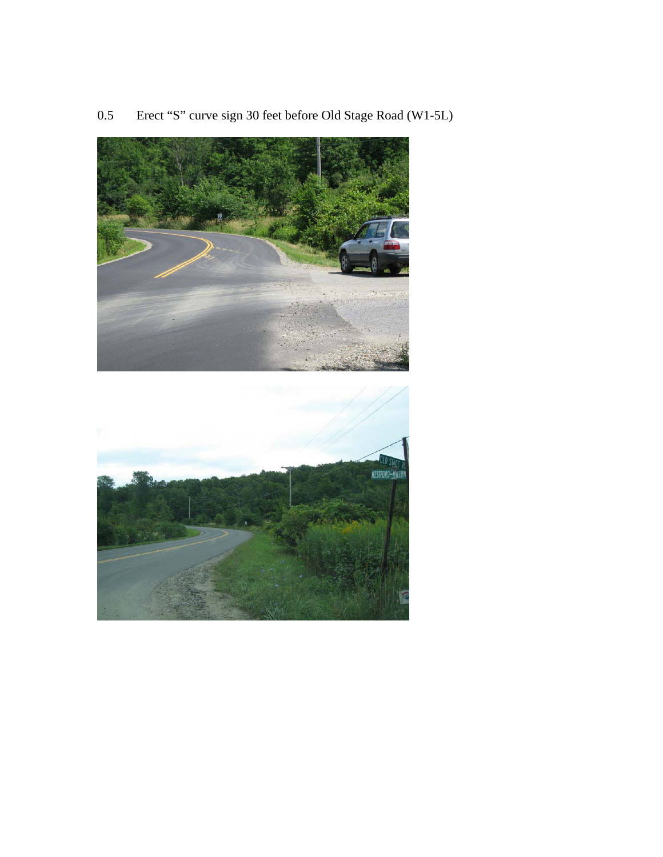

0.5 Erect "S" curve sign 30 feet before Old Stage Road (W1-5L)

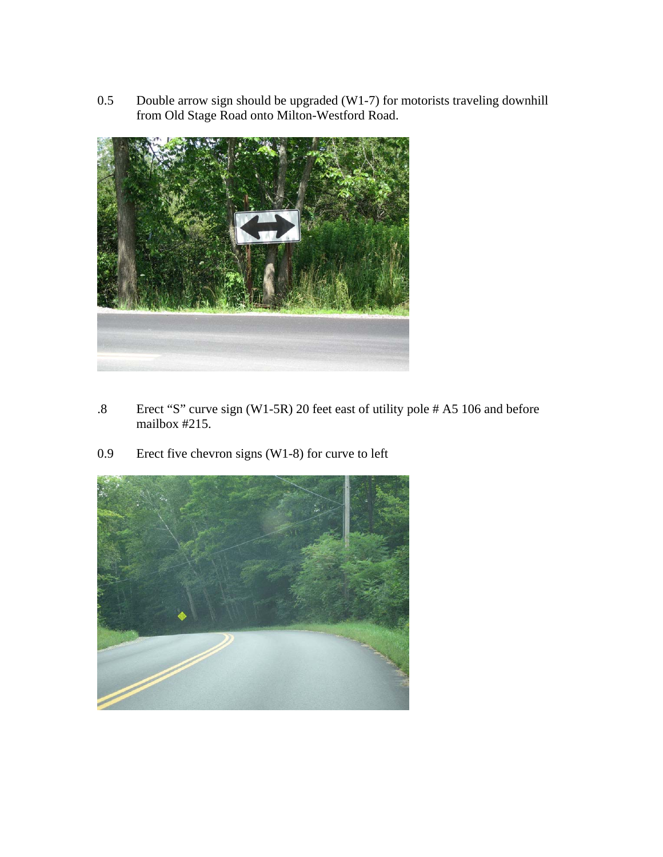0.5 Double arrow sign should be upgraded (W1-7) for motorists traveling downhill from Old Stage Road onto Milton-Westford Road.



- .8 Erect "S" curve sign (W1-5R) 20 feet east of utility pole # A5 106 and before mailbox #215.
- 0.9 Erect five chevron signs (W1-8) for curve to left

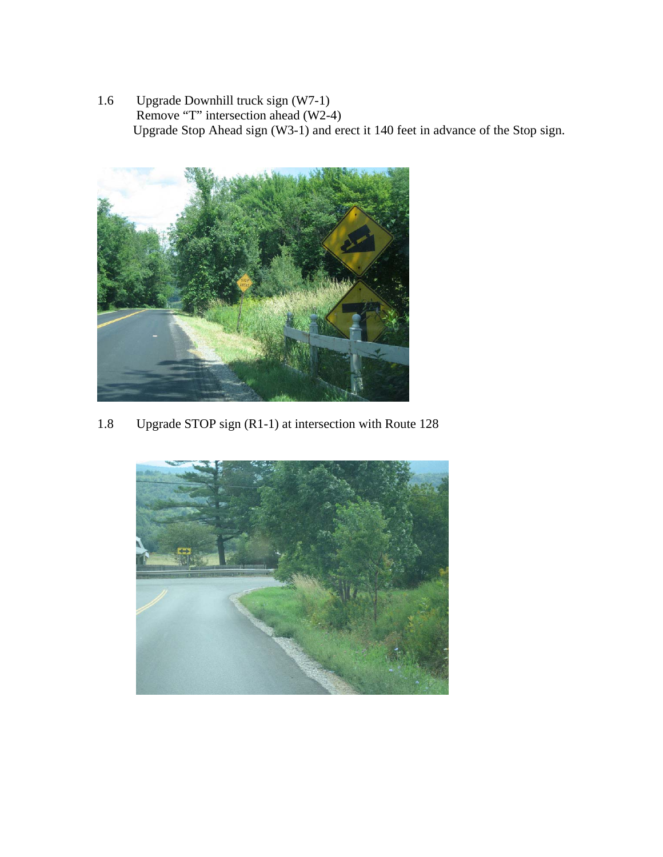1.6 Upgrade Downhill truck sign (W7-1) Remove "T" intersection ahead (W2-4) Upgrade Stop Ahead sign (W3-1) and erect it 140 feet in advance of the Stop sign.



1.8 Upgrade STOP sign (R1-1) at intersection with Route 128